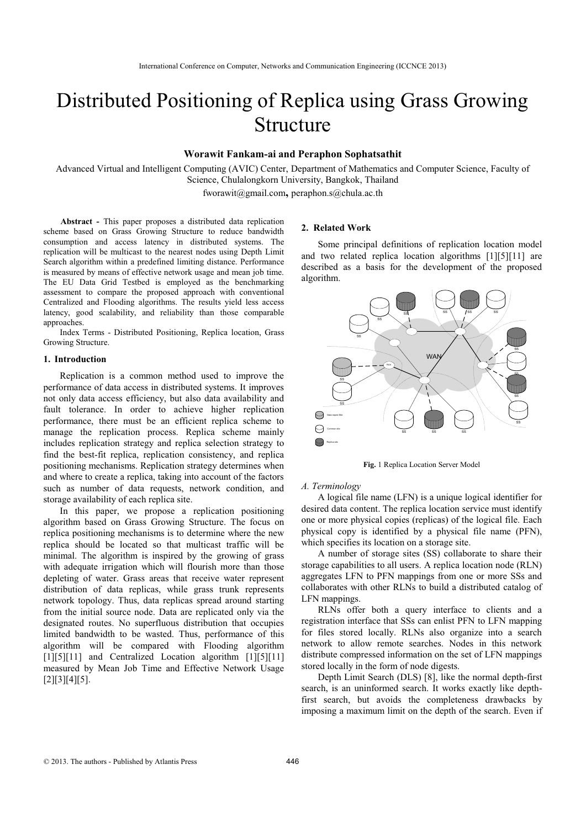# Distributed Positioning of Replica using Grass Growing Structure

## **Worawit Fankam-ai and Peraphon Sophatsathit**

Advanced Virtual and Intelligent Computing (AVIC) Center, Department of Mathematics and Computer Science, Faculty of Science, Chulalongkorn University, Bangkok, Thailand fworawit@gmail.com**,** peraphon.s@chula.ac.th

**Abstract -** This paper proposes a distributed data replication scheme based on Grass Growing Structure to reduce bandwidth consumption and access latency in distributed systems. The replication will be multicast to the nearest nodes using Depth Limit Search algorithm within a predefined limiting distance. Performance is measured by means of effective network usage and mean job time. The EU Data Grid Testbed is employed as the benchmarking assessment to compare the proposed approach with conventional Centralized and Flooding algorithms. The results yield less access latency, good scalability, and reliability than those comparable approaches.

Index Terms - Distributed Positioning, Replica location, Grass Growing Structure.

#### **1. Introduction**

Replication is a common method used to improve the performance of data access in distributed systems. It improves not only data access efficiency, but also data availability and fault tolerance. In order to achieve higher replication performance, there must be an efficient replica scheme to manage the replication process. Replica scheme mainly includes replication strategy and replica selection strategy to find the best-fit replica, replication consistency, and replica positioning mechanisms. Replication strategy determines when and where to create a replica, taking into account of the factors such as number of data requests, network condition, and storage availability of each replica site.

In this paper, we propose a replication positioning algorithm based on Grass Growing Structure. The focus on replica positioning mechanisms is to determine where the new replica should be located so that multicast traffic will be minimal. The algorithm is inspired by the growing of grass with adequate irrigation which will flourish more than those depleting of water. Grass areas that receive water represent distribution of data replicas, while grass trunk represents network topology. Thus, data replicas spread around starting from the initial source node. Data are replicated only via the designated routes. No superfluous distribution that occupies limited bandwidth to be wasted. Thus, performance of this algorithm will be compared with Flooding algorithm [1][5][11] and Centralized Location algorithm [1][5][11] measured by Mean Job Time and Effective Network Usage [2][3][4][5].

# **2. Related Work**

Some principal definitions of replication location model and two related replica location algorithms [1][5][11] are described as a basis for the development of the proposed algorithm.



**Fig.** 1 Replica Location Server Model

#### *A. Terminology*

A logical file name (LFN) is a unique logical identifier for desired data content. The replica location service must identify one or more physical copies (replicas) of the logical file. Each physical copy is identified by a physical file name (PFN), which specifies its location on a storage site.

A number of storage sites (SS) collaborate to share their storage capabilities to all users. A replica location node (RLN) aggregates LFN to PFN mappings from one or more SSs and collaborates with other RLNs to build a distributed catalog of LFN mappings.

RLNs offer both a query interface to clients and a registration interface that SSs can enlist PFN to LFN mapping for files stored locally. RLNs also organize into a search network to allow remote searches. Nodes in this network distribute compressed information on the set of LFN mappings stored locally in the form of node digests.

Depth Limit Search (DLS) [8], like the normal depth-first search, is an uninformed search. It works exactly like depthfirst search, but avoids the completeness drawbacks by imposing a maximum limit on the depth of the search. Even if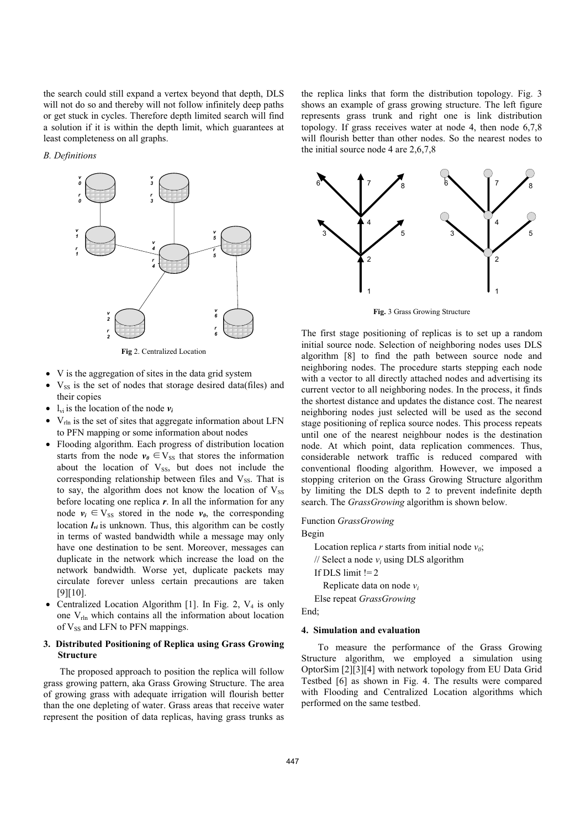the search could still expand a vertex beyond that depth, DLS will not do so and thereby will not follow infinitely deep paths or get stuck in cycles. Therefore depth limited search will find a solution if it is within the depth limit, which guarantees at least completeness on all graphs.

# *B. Definitions*



**Fig** 2. Centralized Location

- x V is the aggregation of sites in the data grid system
- V<sub>SS</sub> is the set of nodes that storage desired data(files) and their copies
- $l_{vi}$  is the location of the node  $v_i$
- $\bullet$  V<sub>rln</sub> is the set of sites that aggregate information about LFN to PFN mapping or some information about nodes
- Flooding algorithm. Each progress of distribution location starts from the node  $v_0 \in V_{SS}$  that stores the information about the location of  $V_{SS}$ , but does not include the corresponding relationship between files and  $V_{SS}$ . That is to say, the algorithm does not know the location of  $V_{SS}$ before locating one replica *r*. In all the information for any node  $v_i \in V_{SS}$  stored in the node  $v_{\theta}$ , the corresponding location  $I_{vi}$  is unknown. Thus, this algorithm can be costly in terms of wasted bandwidth while a message may only have one destination to be sent. Moreover, messages can duplicate in the network which increase the load on the network bandwidth. Worse yet, duplicate packets may circulate forever unless certain precautions are taken [9][10].
- Centralized Location Algorithm [1]. In Fig. 2,  $V_4$  is only one  $V_{rln}$  which contains all the information about location of  $V_{SS}$  and LFN to PFN mappings.

# **3. Distributed Positioning of Replica using Grass Growing Structure**

The proposed approach to position the replica will follow grass growing pattern, aka Grass Growing Structure. The area of growing grass with adequate irrigation will flourish better than the one depleting of water. Grass areas that receive water represent the position of data replicas, having grass trunks as

the replica links that form the distribution topology. Fig. 3 shows an example of grass growing structure. The left figure represents grass trunk and right one is link distribution topology. If grass receives water at node 4, then node 6,7,8 will flourish better than other nodes. So the nearest nodes to the initial source node 4 are 2,6,7,8



**Fig.** 3 Grass Growing Structure

The first stage positioning of replicas is to set up a random initial source node. Selection of neighboring nodes uses DLS algorithm [8] to find the path between source node and neighboring nodes. The procedure starts stepping each node with a vector to all directly attached nodes and advertising its current vector to all neighboring nodes. In the process, it finds the shortest distance and updates the distance cost. The nearest neighboring nodes just selected will be used as the second stage positioning of replica source nodes. This process repeats until one of the nearest neighbour nodes is the destination node. At which point, data replication commences. Thus, considerable network traffic is reduced compared with conventional flooding algorithm. However, we imposed a stopping criterion on the Grass Growing Structure algorithm by limiting the DLS depth to 2 to prevent indefinite depth search. The *GrassGrowing* algorithm is shown below.

## Function *GrassGrowing*

Begin

Location replica  $r$  starts from initial node  $v_0$ ;

 $\frac{1}{2}$  Select a node  $v_i$  using DLS algorithm

If DLS limit  $!= 2$ 

Replicate data on node *vi*

Else repeat *GrassGrowing*

End<sup>-</sup>

## **4. Simulation and evaluation**

To measure the performance of the Grass Growing Structure algorithm, we employed a simulation using OptorSim [2][3][4] with network topology from EU Data Grid Testbed [6] as shown in Fig. 4. The results were compared with Flooding and Centralized Location algorithms which performed on the same testbed.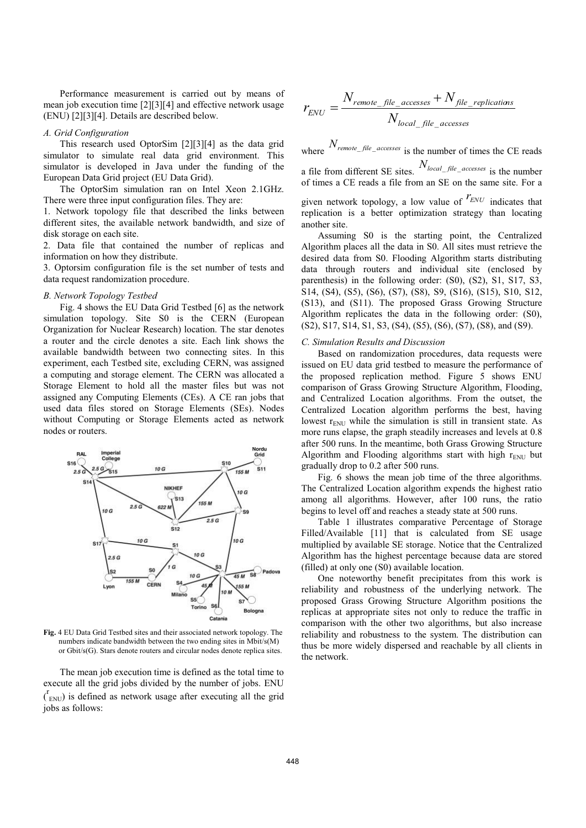Performance measurement is carried out by means of mean job execution time [2][3][4] and effective network usage (ENU) [2][3][4]. Details are described below.

### *A. Grid Configuration*

This research used OptorSim [2][3][4] as the data grid simulator to simulate real data grid environment. This simulator is developed in Java under the funding of the European Data Grid project (EU Data Grid).

The OptorSim simulation ran on Intel Xeon 2.1GHz. There were three input configuration files. They are:

1. Network topology file that described the links between different sites, the available network bandwidth, and size of disk storage on each site.

2. Data file that contained the number of replicas and information on how they distribute.

3. Optorsim configuration file is the set number of tests and data request randomization procedure.

# *B. Network Topology Testbed*

Fig. 4 shows the EU Data Grid Testbed [6] as the network simulation topology. Site S0 is the CERN (European Organization for Nuclear Research) location. The star denotes a router and the circle denotes a site. Each link shows the available bandwidth between two connecting sites. In this experiment, each Testbed site, excluding CERN, was assigned a computing and storage element. The CERN was allocated a Storage Element to hold all the master files but was not assigned any Computing Elements (CEs). A CE ran jobs that used data files stored on Storage Elements (SEs). Nodes without Computing or Storage Elements acted as network nodes or routers.



**Fig.** 4 EU Data Grid Testbed sites and their associated network topology. The numbers indicate bandwidth between the two ending sites in Mbit/s(M) or Gbit/s(G). Stars denote routers and circular nodes denote replica sites.

The mean job execution time is defined as the total time to execute all the grid jobs divided by the number of jobs. ENU  $\binom{r}{\text{env}}$  is defined as network usage after executing all the grid jobs as follows:

$$
r_{\text{ENU}} = \frac{N_{\text{remote\_file}\_\text{accesses} }+N_{\text{file}\_\text{replications}}}{N_{\text{local}\_\text{file}\_\text{accesses}}}
$$

where  $N_{remote\_file\_accesses}$  is the number of times the CE reads

a file from different SE sites. *Nlocal*\_ *file*\_ *accesses* is the number of times a CE reads a file from an SE on the same site. For a

given network topology, a low value of  $r_{ENU}$  indicates that replication is a better optimization strategy than locating another site.

 Assuming S0 is the starting point, the Centralized Algorithm places all the data in S0. All sites must retrieve the desired data from S0. Flooding Algorithm starts distributing data through routers and individual site (enclosed by parenthesis) in the following order: (S0), (S2), S1, S17, S3, S14, (S4), (S5), (S6), (S7), (S8), S9, (S16), (S15), S10, S12, (S13), and (S11). The proposed Grass Growing Structure Algorithm replicates the data in the following order: (S0), (S2), S17, S14, S1, S3, (S4), (S5), (S6), (S7), (S8), and (S9).

#### *C. Simulation Results and Discussion*

Based on randomization procedures, data requests were issued on EU data grid testbed to measure the performance of the proposed replication method. Figure 5 shows ENU comparison of Grass Growing Structure Algorithm, Flooding, and Centralized Location algorithms. From the outset, the Centralized Location algorithm performs the best, having lowest  $r_{\text{ENU}}$  while the simulation is still in transient state. As more runs elapse, the graph steadily increases and levels at 0.8 after 500 runs. In the meantime, both Grass Growing Structure Algorithm and Flooding algorithms start with high  $r_{\text{ENU}}$  but gradually drop to 0.2 after 500 runs.

 Fig. 6 shows the mean job time of the three algorithms. The Centralized Location algorithm expends the highest ratio among all algorithms. However, after 100 runs, the ratio begins to level off and reaches a steady state at 500 runs.

 Table 1 illustrates comparative Percentage of Storage Filled/Available [11] that is calculated from SE usage multiplied by available SE storage. Notice that the Centralized Algorithm has the highest percentage because data are stored (filled) at only one (S0) available location.

 One noteworthy benefit precipitates from this work is reliability and robustness of the underlying network. The proposed Grass Growing Structure Algorithm positions the replicas at appropriate sites not only to reduce the traffic in comparison with the other two algorithms, but also increase reliability and robustness to the system. The distribution can thus be more widely dispersed and reachable by all clients in the network.